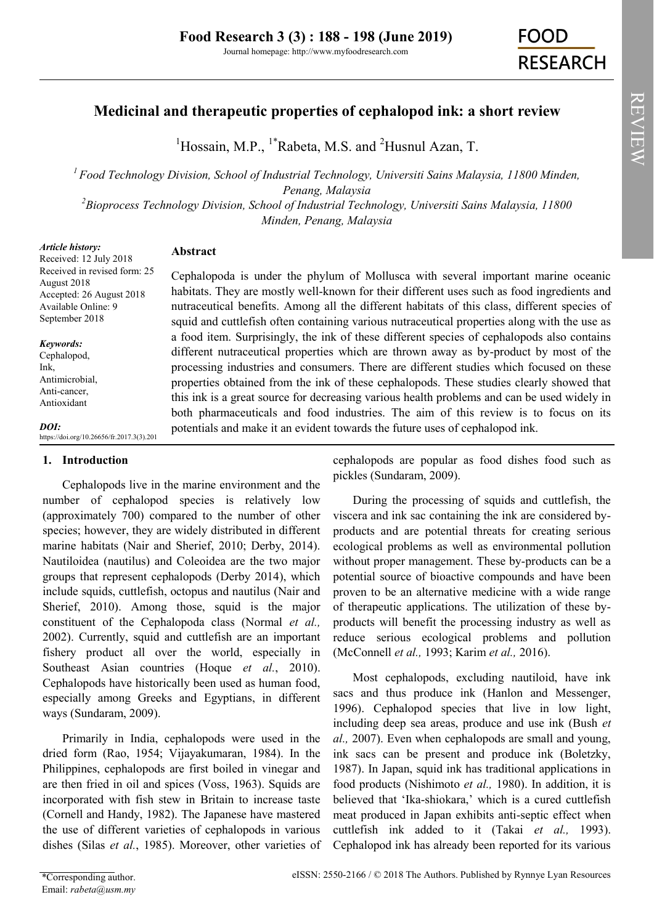# **Medicinal and therapeutic properties of cephalopod ink: a short review**

<sup>1</sup>Hossain, M.P., <sup>1\*</sup>Rabeta, M.S. and <sup>2</sup>Husnul Azan, T.

*<sup>1</sup>Food Technology Division, School of Industrial Technology, Universiti Sains Malaysia, 11800 Minden, Penang, Malaysia*

*<sup>2</sup>Bioprocess Technology Division, School of Industrial Technology, Universiti Sains Malaysia, 11800 Minden, Penang, Malaysia*

#### *Article history:* Received: 12 July 2018 Received in revised form: 25 August 2018 Accepted: 26 August 2018 Available Online: 9 September 2018 *Keywords:* Cephalopod, Ink, Antimicrobial, Anti-cancer, Antioxidant *DOI:* https://doi.org/10.26656/fr.2017.3(3).201 **Abstract** Cephalopoda is under the phylum of Mollusca with several important marine oceanic habitats. They are mostly well-known for their different uses such as food ingredients and nutraceutical benefits. Among all the different habitats of this class, different species of squid and cuttlefish often containing various nutraceutical properties along with the use as a food item. Surprisingly, the ink of these different species of cephalopods also contains different nutraceutical properties which are thrown away as by-product by most of the processing industries and consumers. There are different studies which focused on these properties obtained from the ink of these cephalopods. These studies clearly showed that this ink is a great source for decreasing various health problems and can be used widely in both pharmaceuticals and food industries. The aim of this review is to focus on its potentials and make it an evident towards the future uses of cephalopod ink.

## **1. Introduction**

Cephalopods live in the marine environment and the number of cephalopod species is relatively low (approximately 700) compared to the number of other species; however, they are widely distributed in different marine habitats (Nair and Sherief, 2010; Derby, 2014). Nautiloidea (nautilus) and Coleoidea are the two major groups that represent cephalopods (Derby 2014), which include squids, cuttlefish, octopus and nautilus (Nair and Sherief, 2010). Among those, squid is the major constituent of the Cephalopoda class (Normal *et al.,* 2002). Currently, squid and cuttlefish are an important fishery product all over the world, especially in Southeast Asian countries (Hoque *et al.*, 2010). Cephalopods have historically been used as human food, especially among Greeks and Egyptians, in different ways (Sundaram, 2009).

Primarily in India, cephalopods were used in the dried form (Rao, 1954; Vijayakumaran, 1984). In the Philippines, cephalopods are first boiled in vinegar and are then fried in oil and spices (Voss, 1963). Squids are incorporated with fish stew in Britain to increase taste (Cornell and Handy, 1982). The Japanese have mastered the use of different varieties of cephalopods in various dishes (Silas *et al.*, 1985). Moreover, other varieties of cephalopods are popular as food dishes food such as pickles (Sundaram, 2009).

During the processing of squids and cuttlefish, the viscera and ink sac containing the ink are considered byproducts and are potential threats for creating serious ecological problems as well as environmental pollution without proper management. These by-products can be a potential source of bioactive compounds and have been proven to be an alternative medicine with a wide range of therapeutic applications. The utilization of these byproducts will benefit the processing industry as well as reduce serious ecological problems and pollution (McConnell *et al.,* 1993; Karim *et al.,* 2016).

Most cephalopods, excluding nautiloid, have ink sacs and thus produce ink (Hanlon and Messenger, 1996). Cephalopod species that live in low light, including deep sea areas, produce and use ink (Bush *et al.,* 2007). Even when cephalopods are small and young, ink sacs can be present and produce ink (Boletzky, 1987). In Japan, squid ink has traditional applications in food products (Nishimoto *et al.,* 1980). In addition, it is believed that 'Ika-shiokara,' which is a cured cuttlefish meat produced in Japan exhibits anti-septic effect when cuttlefish ink added to it (Takai *et al.,* 1993). Cephalopod ink has already been reported for its various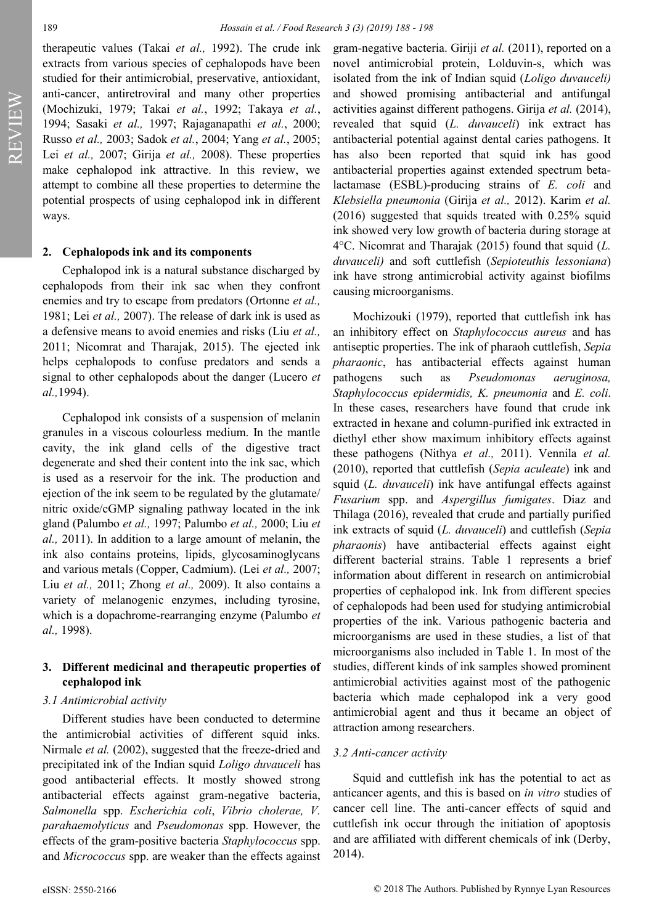REVIEW**AEVIEW**  therapeutic values (Takai *et al.,* 1992). The crude ink extracts from various species of cephalopods have been studied for their antimicrobial, preservative, antioxidant, anti-cancer, antiretroviral and many other properties (Mochizuki, 1979; Takai *et al.*, 1992; Takaya *et al.*, 1994; Sasaki *et al.,* 1997; Rajaganapathi *et al.*, 2000; Russo *et al.,* 2003; Sadok *et al.*, 2004; Yang *et al.*, 2005; Lei *et al.,* 2007; Girija *et al.,* 2008). These properties make cephalopod ink attractive. In this review, we attempt to combine all these properties to determine the potential prospects of using cephalopod ink in different ways.

#### **2. Cephalopods ink and its components**

Cephalopod ink is a natural substance discharged by cephalopods from their ink sac when they confront enemies and try to escape from predators (Ortonne *et al.,* 1981; Lei *et al.,* 2007). The release of dark ink is used as a defensive means to avoid enemies and risks (Liu *et al.,* 2011; Nicomrat and Tharajak, 2015). The ejected ink helps cephalopods to confuse predators and sends a signal to other cephalopods about the danger (Lucero *et al.,*1994).

Cephalopod ink consists of a suspension of melanin granules in a viscous colourless medium. In the mantle cavity, the ink gland cells of the digestive tract degenerate and shed their content into the ink sac, which is used as a reservoir for the ink. The production and ejection of the ink seem to be regulated by the glutamate/ nitric oxide/cGMP signaling pathway located in the ink gland (Palumbo *et al.,* 1997; Palumbo *et al.,* 2000; Liu *et al.,* 2011). In addition to a large amount of melanin, the ink also contains proteins, lipids, glycosaminoglycans and various metals (Copper, Cadmium). (Lei *et al.,* 2007; Liu *et al.,* 2011; Zhong *et al.,* 2009). It also contains a variety of melanogenic enzymes, including tyrosine, which is a dopachrome-rearranging enzyme (Palumbo *et al.,* 1998).

### **3. Different medicinal and therapeutic properties of cephalopod ink**

#### *3.1 Antimicrobial activity*

Different studies have been conducted to determine the antimicrobial activities of different squid inks. Nirmale *et al.* (2002), suggested that the freeze-dried and precipitated ink of the Indian squid *Loligo duvauceli* has good antibacterial effects. It mostly showed strong antibacterial effects against gram-negative bacteria, *Salmonella* spp. *Escherichia coli*, *Vibrio cholerae, V. parahaemolyticus* and *Pseudomonas* spp. However, the effects of the gram-positive bacteria *Staphylococcus* spp. and *Micrococcus* spp. are weaker than the effects against

gram-negative bacteria. Giriji *et al.* (2011), reported on a novel antimicrobial protein, Lolduvin-s, which was isolated from the ink of Indian squid (*Loligo duvauceli)*  and showed promising antibacterial and antifungal activities against different pathogens. Girija *et al.* (2014), revealed that squid (*L. duvauceli*) ink extract has antibacterial potential against dental caries pathogens. It has also been reported that squid ink has good antibacterial properties against extended spectrum betalactamase (ESBL)-producing strains of *E. coli* and *Klebsiella pneumonia* (Girija *et al.,* 2012). Karim *et al.* (2016) suggested that squids treated with 0.25% squid ink showed very low growth of bacteria during storage at 4°C. Nicomrat and Tharajak (2015) found that squid (*L. duvauceli)* and soft cuttlefish (*Sepioteuthis lessoniana*) ink have strong antimicrobial activity against biofilms causing microorganisms.

Mochizouki (1979), reported that cuttlefish ink has an inhibitory effect on *Staphylococcus aureus* and has antiseptic properties. The ink of pharaoh cuttlefish, *Sepia pharaonic*, has antibacterial effects against human pathogens such as *Pseudomonas aeruginosa, Staphylococcus epidermidis, K. pneumonia* and *E. coli*. In these cases, researchers have found that crude ink extracted in hexane and column-purified ink extracted in diethyl ether show maximum inhibitory effects against these pathogens (Nithya *et al.,* 2011). Vennila *et al.* (2010), reported that cuttlefish (*Sepia aculeate*) ink and squid (*L. duvauceli*) ink have antifungal effects against *Fusarium* spp. and *Aspergillus fumigates*. Diaz and Thilaga (2016), revealed that crude and partially purified ink extracts of squid (*L. duvauceli*) and cuttlefish (*Sepia pharaonis*) have antibacterial effects against eight different bacterial strains. Table 1 represents a brief information about different in research on antimicrobial properties of cephalopod ink. Ink from different species of cephalopods had been used for studying antimicrobial properties of the ink. Various pathogenic bacteria and microorganisms are used in these studies, a list of that microorganisms also included in Table 1. In most of the studies, different kinds of ink samples showed prominent antimicrobial activities against most of the pathogenic bacteria which made cephalopod ink a very good antimicrobial agent and thus it became an object of attraction among researchers.

#### *3.2 Anti-cancer activity*

Squid and cuttlefish ink has the potential to act as anticancer agents, and this is based on *in vitro* studies of cancer cell line. The anti-cancer effects of squid and cuttlefish ink occur through the initiation of apoptosis and are affiliated with different chemicals of ink (Derby, 2014).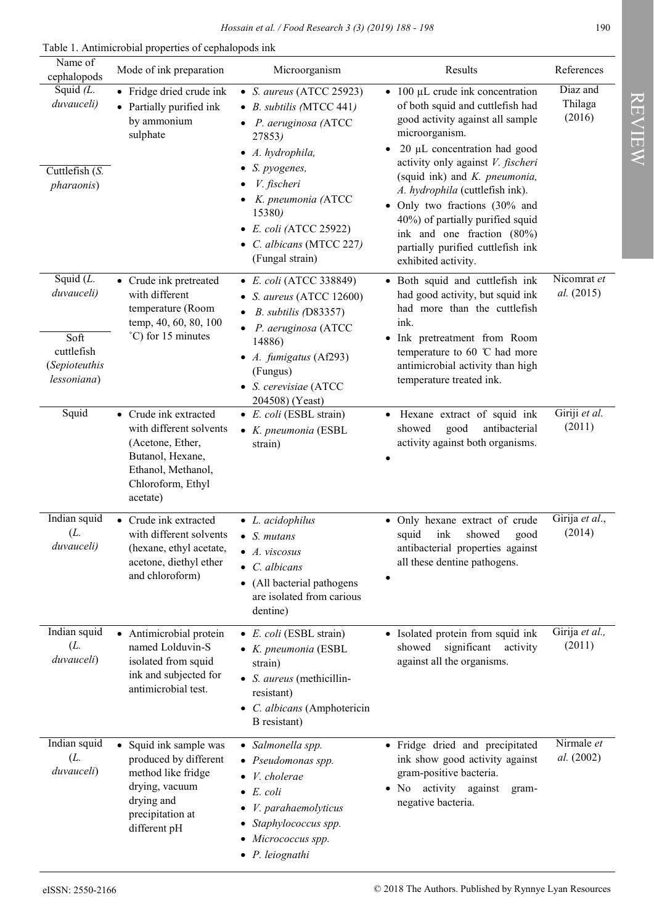Table 1. Antimicrobial properties of cephalopods ink

| Name of<br>cephalopods                                                          | Mode of ink preparation                                                                                                                         | Microorganism                                                                                                                                                                                                                                                                           | Results                                                                                                                                                                                                                                                                                                                                                                                                                                                 | References                    |
|---------------------------------------------------------------------------------|-------------------------------------------------------------------------------------------------------------------------------------------------|-----------------------------------------------------------------------------------------------------------------------------------------------------------------------------------------------------------------------------------------------------------------------------------------|---------------------------------------------------------------------------------------------------------------------------------------------------------------------------------------------------------------------------------------------------------------------------------------------------------------------------------------------------------------------------------------------------------------------------------------------------------|-------------------------------|
| Squid $(L$ .<br>duvauceli)<br>Cuttlefish $(S.$<br>pharaonis)                    | • Fridge dried crude ink<br>• Partially purified ink<br>by ammonium<br>sulphate                                                                 | • S. aureus (ATCC 25923)<br>$\bullet$ B. subtilis (MTCC 441)<br>• P. aeruginosa (ATCC<br>27853)<br>$\bullet$ A. hydrophila,<br>$\bullet$ S. pyogenes,<br>V. fischeri<br>$\bullet$ K. pneumonia (ATCC<br>15380)<br>• E. coli (ATCC 25922)<br>• C. albicans (MTCC 227)<br>(Fungal strain) | $\bullet$ 100 µL crude ink concentration<br>of both squid and cuttlefish had<br>good activity against all sample<br>microorganism.<br>20 µL concentration had good<br>$\bullet$<br>activity only against V. fischeri<br>(squid ink) and K. pneumonia,<br>A. hydrophila (cuttlefish ink).<br>· Only two fractions (30% and<br>40%) of partially purified squid<br>ink and one fraction (80%)<br>partially purified cuttlefish ink<br>exhibited activity. | Diaz and<br>Thilaga<br>(2016) |
| Squid $(L.$<br>duvauceli)<br>Soft<br>cuttlefish<br>(Sepioteuthis<br>lessoniana) | • Crude ink pretreated<br>with different<br>temperature (Room<br>temp, 40, 60, 80, 100<br>°C) for 15 minutes                                    | • E. coli (ATCC 338849)<br>• S. aureus (ATCC 12600)<br>B. subtilis (D83357)<br>$\bullet$<br>$\bullet$ P. aeruginosa (ATCC<br>14886)<br>• $A.$ fumigatus (Af293)<br>(Fungus)<br>• S. cerevisiae (ATCC<br>204508) (Yeast)                                                                 | · Both squid and cuttlefish ink<br>had good activity, but squid ink<br>had more than the cuttlefish<br>ink.<br>• Ink pretreatment from Room<br>temperature to 60 $\degree$ C had more<br>antimicrobial activity than high<br>temperature treated ink.                                                                                                                                                                                                   | Nicomrat et<br>al. (2015)     |
| Squid                                                                           | • Crude ink extracted<br>with different solvents<br>(Acetone, Ether,<br>Butanol, Hexane,<br>Ethanol, Methanol,<br>Chloroform, Ethyl<br>acetate) | $\bullet$ <i>E. coli</i> (ESBL strain)<br>• K. pneumonia (ESBL<br>strain)                                                                                                                                                                                                               | · Hexane extract of squid ink<br>good<br>antibacterial<br>showed<br>activity against both organisms.                                                                                                                                                                                                                                                                                                                                                    | Giriji et al.<br>(2011)       |
| Indian squid<br>(L.<br>duvauceli)                                               | • Crude ink extracted<br>with different solvents<br>(hexane, ethyl acetate,<br>acetone, diethyl ether<br>and chloroform)                        | $\bullet$ <i>L. acidophilus</i><br>$\bullet$ S. mutans<br>A. viscosus<br>$\bullet$ C. albicans<br>• (All bacterial pathogens<br>are isolated from carious<br>dentine)                                                                                                                   | • Only hexane extract of crude<br>showed<br>squid<br>ink<br>good<br>antibacterial properties against<br>all these dentine pathogens.                                                                                                                                                                                                                                                                                                                    | Girija et al.,<br>(2014)      |
| Indian squid<br>(L.<br>duvauceli)                                               | • Antimicrobial protein<br>named Lolduvin-S<br>isolated from squid<br>ink and subjected for<br>antimicrobial test.                              | $\bullet$ <i>E. coli</i> (ESBL strain)<br>• K. pneumonia (ESBL<br>strain)<br>• S. aureus (methicillin-<br>resistant)<br>• C. albicans (Amphotericin<br>B resistant)                                                                                                                     | • Isolated protein from squid ink<br>significant<br>showed<br>activity<br>against all the organisms.                                                                                                                                                                                                                                                                                                                                                    | Girija et al.,<br>(2011)      |
| Indian squid<br>(L.<br>duvauceli)                                               | • Squid ink sample was<br>produced by different<br>method like fridge<br>drying, vacuum<br>drying and<br>precipitation at<br>different pH       | • Salmonella spp.<br>• Pseudomonas spp.<br>$\bullet$ <i>V. cholerae</i><br>$\bullet$ E. coli<br>$\bullet$ <i>V. parahaemolyticus</i><br>• Staphylococcus spp.<br>• Micrococcus spp.<br>$\bullet$ P. leiognathi                                                                          | · Fridge dried and precipitated<br>ink show good activity against<br>gram-positive bacteria.<br>· No activity against<br>gram-<br>negative bacteria.                                                                                                                                                                                                                                                                                                    | Nirmale et<br>al. (2002)      |

**REVIEW** REVIEW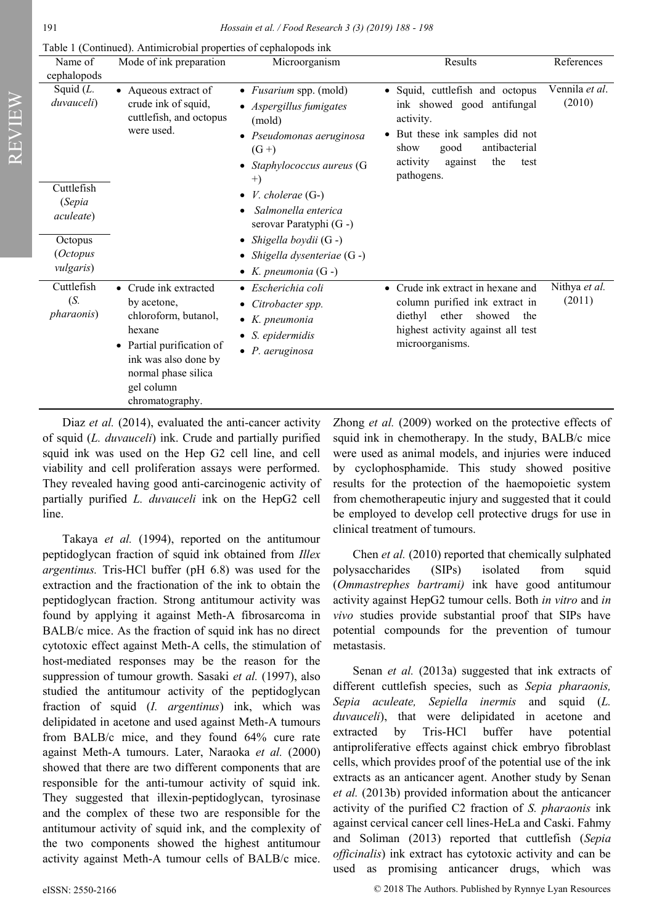REVIEW

Table 1 (Continued). Antimicrobial properties of cephalopods ink

| Name of<br>cephalopods                    | Mode of ink preparation                                                                                                                                                             | Microorganism                                                                                                                                   | Results                                                                                                                                                                                                       | References               |
|-------------------------------------------|-------------------------------------------------------------------------------------------------------------------------------------------------------------------------------------|-------------------------------------------------------------------------------------------------------------------------------------------------|---------------------------------------------------------------------------------------------------------------------------------------------------------------------------------------------------------------|--------------------------|
| Squid $(L.$<br>duvauceli)                 | • Aqueous extract of<br>crude ink of squid,<br>cuttlefish, and octopus<br>were used.                                                                                                | • <i>Fusarium</i> spp. (mold)<br>• Aspergillus fumigates<br>(mold)<br>• Pseudomonas aeruginosa<br>$(G+)$<br>Staphylococcus aureus (G<br>$^{+)}$ | • Squid, cuttlefish and octopus<br>ink showed good antifungal<br>activity.<br>But these ink samples did not<br>$\bullet$<br>antibacterial<br>good<br>show<br>activity<br>the<br>against<br>test<br>pathogens. | Vennila et al.<br>(2010) |
| Cuttlefish<br>(Sepia<br><i>aculeate</i> ) |                                                                                                                                                                                     | <i>V.</i> cholerae $(G-)$<br>Salmonella enterica<br>serovar Paratyphi (G -)                                                                     |                                                                                                                                                                                                               |                          |
| Octopus<br>(Octopus<br><i>vulgaris</i> )  |                                                                                                                                                                                     | • Shigella boydii (G -)<br>• Shigella dysenteriae $(G -)$<br>• K. pneumonia $(G -)$                                                             |                                                                                                                                                                                                               |                          |
| Cuttlefish<br>(S.<br><i>pharaonis</i> )   | • Crude ink extracted<br>by acetone,<br>chloroform, butanol,<br>hexane<br>• Partial purification of<br>ink was also done by<br>normal phase silica<br>gel column<br>chromatography. | • Escherichia coli<br>• Citrobacter spp.<br>$\bullet$ K. pneumonia<br>$\bullet$ S. epidermidis<br>$\bullet$ P. aeruginosa                       | • Crude ink extract in hexane and<br>column purified ink extract in<br>diethyl<br>ether<br>showed<br>the<br>highest activity against all test<br>microorganisms.                                              | Nithya et al.<br>(2011)  |

Diaz *et al.* (2014), evaluated the anti-cancer activity of squid (*L. duvauceli*) ink. Crude and partially purified squid ink was used on the Hep G2 cell line, and cell viability and cell proliferation assays were performed. They revealed having good anti-carcinogenic activity of partially purified *L. duvauceli* ink on the HepG2 cell line.

Takaya *et al.* (1994), reported on the antitumour peptidoglycan fraction of squid ink obtained from *Illex argentinus.* Tris-HCl buffer (pH 6.8) was used for the extraction and the fractionation of the ink to obtain the peptidoglycan fraction. Strong antitumour activity was found by applying it against Meth-A fibrosarcoma in BALB/c mice. As the fraction of squid ink has no direct cytotoxic effect against Meth-A cells, the stimulation of host-mediated responses may be the reason for the suppression of tumour growth. Sasaki *et al.* (1997), also studied the antitumour activity of the peptidoglycan fraction of squid (*I. argentinus*) ink, which was delipidated in acetone and used against Meth-A tumours from BALB/c mice, and they found 64% cure rate against Meth-A tumours. Later, Naraoka *et al.* (2000) showed that there are two different components that are responsible for the anti-tumour activity of squid ink. They suggested that illexin-peptidoglycan, tyrosinase and the complex of these two are responsible for the antitumour activity of squid ink, and the complexity of the two components showed the highest antitumour activity against Meth-A tumour cells of BALB/c mice.

Zhong *et al.* (2009) worked on the protective effects of squid ink in chemotherapy. In the study, BALB/c mice were used as animal models, and injuries were induced by cyclophosphamide. This study showed positive results for the protection of the haemopoietic system from chemotherapeutic injury and suggested that it could be employed to develop cell protective drugs for use in clinical treatment of tumours.

Chen *et al.* (2010) reported that chemically sulphated polysaccharides (SIPs) isolated from squid (*Ommastrephes bartrami)* ink have good antitumour activity against HepG2 tumour cells. Both *in vitro* and *in vivo* studies provide substantial proof that SIPs have potential compounds for the prevention of tumour metastasis.

Senan *et al.* (2013a) suggested that ink extracts of different cuttlefish species, such as *Sepia pharaonis, Sepia aculeate, Sepiella inermis* and squid (*L. duvauceli*), that were delipidated in acetone and extracted by Tris-HCl buffer have potential antiproliferative effects against chick embryo fibroblast cells, which provides proof of the potential use of the ink extracts as an anticancer agent. Another study by Senan *et al.* (2013b) provided information about the anticancer activity of the purified C2 fraction of *S. pharaonis* ink against cervical cancer cell lines-HeLa and Caski. Fahmy and Soliman (2013) reported that cuttlefish (*Sepia officinalis*) ink extract has cytotoxic activity and can be used as promising anticancer drugs, which was

eISSN: 2550-2166 © 2018 The Authors. Published by Rynnye Lyan Resources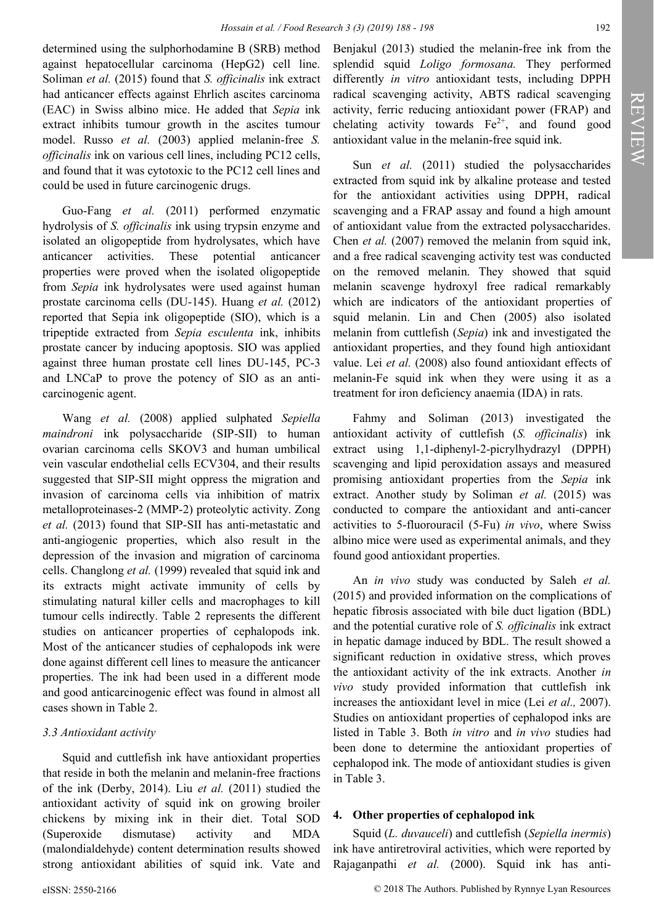determined using the sulphorhodamine B (SRB) method against hepatocellular carcinoma (HepG2) cell line. Soliman *et al.* (2015) found that *S. officinalis* ink extract had anticancer effects against Ehrlich ascites carcinoma (EAC) in Swiss albino mice. He added that *Sepia* ink extract inhibits tumour growth in the ascites tumour model. Russo *et al.* (2003) applied melanin-free *S. officinalis* ink on various cell lines, including PC12 cells, and found that it was cytotoxic to the PC12 cell lines and could be used in future carcinogenic drugs.

Guo-Fang *et al.* (2011) performed enzymatic hydrolysis of *S. officinalis* ink using trypsin enzyme and isolated an oligopeptide from hydrolysates, which have anticancer activities. These potential anticancer properties were proved when the isolated oligopeptide from *Sepia* ink hydrolysates were used against human prostate carcinoma cells (DU-145). Huang *et al.* (2012) reported that Sepia ink oligopeptide (SIO), which is a tripeptide extracted from *Sepia esculenta* ink, inhibits prostate cancer by inducing apoptosis. SIO was applied against three human prostate cell lines DU-145, PC-3 and LNCaP to prove the potency of SIO as an anticarcinogenic agent.

Wang *et al.* (2008) applied sulphated *Sepiella maindroni* ink polysaccharide (SIP-SII) to human ovarian carcinoma cells SKOV3 and human umbilical vein vascular endothelial cells ECV304, and their results suggested that SIP-SII might oppress the migration and invasion of carcinoma cells via inhibition of matrix metalloproteinases-2 (MMP-2) proteolytic activity. Zong *et al.* (2013) found that SIP-SII has anti-metastatic and anti-angiogenic properties, which also result in the depression of the invasion and migration of carcinoma cells. Changlong *et al.* (1999) revealed that squid ink and its extracts might activate immunity of cells by stimulating natural killer cells and macrophages to kill tumour cells indirectly. Table 2 represents the different studies on anticancer properties of cephalopods ink. Most of the anticancer studies of cephalopods ink were done against different cell lines to measure the anticancer properties. The ink had been used in a different mode and good anticarcinogenic effect was found in almost all cases shown in Table 2.

### *3.3 Antioxidant activity*

Squid and cuttlefish ink have antioxidant properties that reside in both the melanin and melanin-free fractions of the ink (Derby, 2014). Liu *et al.* (2011) studied the antioxidant activity of squid ink on growing broiler chickens by mixing ink in their diet. Total SOD (Superoxide dismutase) activity and MDA (malondialdehyde) content determination results showed strong antioxidant abilities of squid ink. Vate and

Benjakul (2013) studied the melanin-free ink from the splendid squid *Loligo formosana.* They performed differently *in vitro* antioxidant tests, including DPPH radical scavenging activity, ABTS radical scavenging activity, ferric reducing antioxidant power (FRAP) and chelating activity towards  $Fe^{2+}$ , and found good antioxidant value in the melanin-free squid ink.

Sun *et al.* (2011) studied the polysaccharides extracted from squid ink by alkaline protease and tested for the antioxidant activities using DPPH, radical scavenging and a FRAP assay and found a high amount of antioxidant value from the extracted polysaccharides. Chen *et al.* (2007) removed the melanin from squid ink, and a free radical scavenging activity test was conducted on the removed melanin. They showed that squid melanin scavenge hydroxyl free radical remarkably which are indicators of the antioxidant properties of squid melanin. Lin and Chen (2005) also isolated melanin from cuttlefish (*Sepia*) ink and investigated the antioxidant properties, and they found high antioxidant value. Lei *et al.* (2008) also found antioxidant effects of melanin-Fe squid ink when they were using it as a treatment for iron deficiency anaemia (IDA) in rats.

Fahmy and Soliman (2013) investigated the antioxidant activity of cuttlefish (*S. officinalis*) ink extract using 1,1-diphenyl-2-picrylhydrazyl (DPPH) scavenging and lipid peroxidation assays and measured promising antioxidant properties from the *Sepia* ink extract. Another study by Soliman et al. (2015) was conducted to compare the antioxidant and anti-cancer activities to 5-fluorouracil (5-Fu) *in vivo*, where Swiss albino mice were used as experimental animals, and they found good antioxidant properties.

An *in vivo* study was conducted by Saleh *et al.* (2015) and provided information on the complications of hepatic fibrosis associated with bile duct ligation (BDL) and the potential curative role of *S. officinalis* ink extract in hepatic damage induced by BDL. The result showed a significant reduction in oxidative stress, which proves the antioxidant activity of the ink extracts. Another *in vivo* study provided information that cuttlefish ink increases the antioxidant level in mice (Lei *et al.,* 2007). Studies on antioxidant properties of cephalopod inks are listed in Table 3. Both *in vitro* and *in vivo* studies had been done to determine the antioxidant properties of cephalopod ink. The mode of antioxidant studies is given in Table 3.

#### **4. Other properties of cephalopod ink**

Squid (*L. duvauceli*) and cuttlefish (*Sepiella inermis*) ink have antiretroviral activities, which were reported by Rajaganpathi *et al.* (2000). Squid ink has anti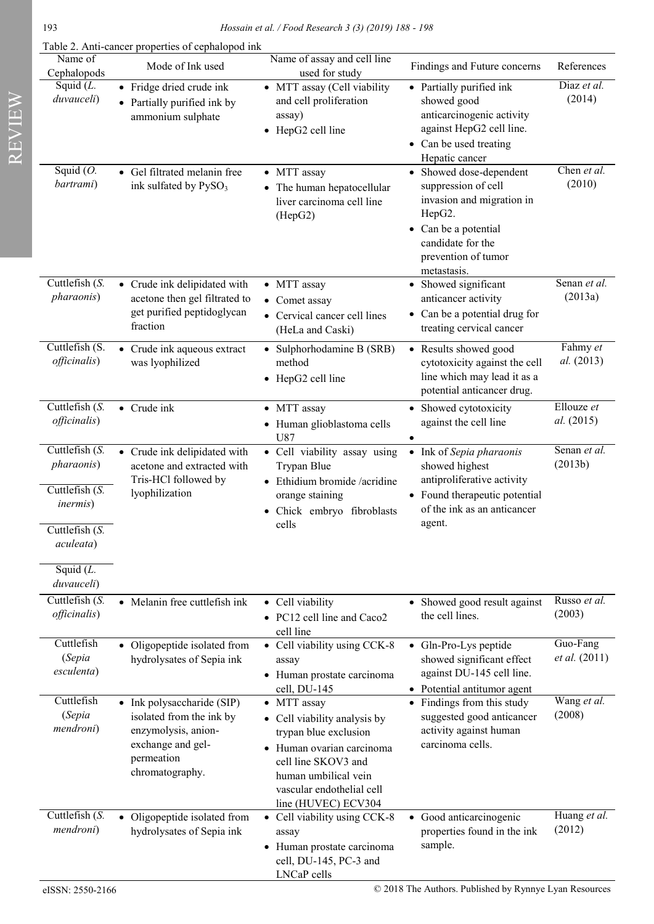Table 2. Anti-cancer properties of cephalopod ink

| Name of<br>Cephalopods                                                                                           | Mode of Ink used                                                                                                                    | Name of assay and cell line<br>used for study                                                                                                                                                        | Findings and Future concerns                                                                                                                                             | References                |
|------------------------------------------------------------------------------------------------------------------|-------------------------------------------------------------------------------------------------------------------------------------|------------------------------------------------------------------------------------------------------------------------------------------------------------------------------------------------------|--------------------------------------------------------------------------------------------------------------------------------------------------------------------------|---------------------------|
| Squid $(L.$<br>duvauceli)                                                                                        | • Fridge dried crude ink<br>• Partially purified ink by<br>ammonium sulphate                                                        | • MTT assay (Cell viability<br>and cell proliferation<br>assay)<br>• HepG2 cell line                                                                                                                 | • Partially purified ink<br>showed good<br>anticarcinogenic activity<br>against HepG2 cell line.<br>• Can be used treating<br>Hepatic cancer                             | Diaz et al.<br>(2014)     |
| Squid $(O.$<br>bartrami)                                                                                         | • Gel filtrated melanin free<br>ink sulfated by PySO <sub>3</sub>                                                                   | • MTT assay<br>• The human hepatocellular<br>liver carcinoma cell line<br>(HepG2)                                                                                                                    | • Showed dose-dependent<br>suppression of cell<br>invasion and migration in<br>HepG2.<br>• Can be a potential<br>candidate for the<br>prevention of tumor<br>metastasis. | Chen et al.<br>(2010)     |
| Cuttlefish $(S.$<br>pharaonis)                                                                                   | • Crude ink delipidated with<br>acetone then gel filtrated to<br>get purified peptidoglycan<br>fraction                             | • MTT assay<br>• Comet assay<br>• Cervical cancer cell lines<br>(HeLa and Caski)                                                                                                                     | • Showed significant<br>anticancer activity<br>• Can be a potential drug for<br>treating cervical cancer                                                                 | Senan et al.<br>(2013a)   |
| Cuttlefish (S.<br><i>officinalis</i> )                                                                           | • Crude ink aqueous extract<br>was lyophilized                                                                                      | • Sulphorhodamine B (SRB)<br>method<br>• HepG2 cell line                                                                                                                                             | • Results showed good<br>cytotoxicity against the cell<br>line which may lead it as a<br>potential anticancer drug.                                                      | Fahmy et<br>al. (2013)    |
| Cuttlefish $(S.$<br><i>officinalis</i> )                                                                         | • Crude ink                                                                                                                         | • MTT assay<br>• Human glioblastoma cells<br>U87                                                                                                                                                     | • Showed cytotoxicity<br>against the cell line<br>$\bullet$                                                                                                              | Ellouze et<br>al. (2015)  |
| Cuttlefish $(S.$<br><i>pharaonis</i> )<br>Cuttlefish $(S.$<br><i>inermis</i> )<br>Cuttlefish $(S$ .<br>aculeata) | • Crude ink delipidated with<br>acetone and extracted with<br>Tris-HCl followed by<br>lyophilization                                | · Cell viability assay using<br>Trypan Blue<br>• Ethidium bromide /acridine<br>orange staining<br>· Chick embryo fibroblasts<br>cells                                                                | • Ink of Sepia pharaonis<br>showed highest<br>antiproliferative activity<br>• Found therapeutic potential<br>of the ink as an anticancer<br>agent.                       | Senan et al.<br>(2013b)   |
| Squid $(L.$<br>duvauceli)<br>Cuttlefish $(S$ .<br><i>officinalis</i> )                                           | • Melanin free cuttlefish ink                                                                                                       | • Cell viability<br>• PC12 cell line and Caco2                                                                                                                                                       | • Showed good result against<br>the cell lines.                                                                                                                          | Russo et al.<br>(2003)    |
| Cuttlefish<br>(Sepia<br>esculenta)                                                                               | • Oligopeptide isolated from<br>hydrolysates of Sepia ink                                                                           | cell line<br>• Cell viability using CCK-8<br>assay<br>· Human prostate carcinoma<br>cell, DU-145                                                                                                     | • Gln-Pro-Lys peptide<br>showed significant effect<br>against DU-145 cell line.<br>• Potential antitumor agent                                                           | Guo-Fang<br>et al. (2011) |
| Cuttlefish<br>(Sepia<br>mendroni)                                                                                | • Ink polysaccharide (SIP)<br>isolated from the ink by<br>enzymolysis, anion-<br>exchange and gel-<br>permeation<br>chromatography. | • MTT assay<br>• Cell viability analysis by<br>trypan blue exclusion<br>· Human ovarian carcinoma<br>cell line SKOV3 and<br>human umbilical vein<br>vascular endothelial cell<br>line (HUVEC) ECV304 | • Findings from this study<br>suggested good anticancer<br>activity against human<br>carcinoma cells.                                                                    | Wang et al.<br>(2008)     |
| Cuttlefish $(S.$<br>mendroni)                                                                                    | • Oligopeptide isolated from<br>hydrolysates of Sepia ink                                                                           | • Cell viability using CCK-8<br>assay<br>· Human prostate carcinoma<br>cell, DU-145, PC-3 and<br>LNCaP cells                                                                                         | • Good anticarcinogenic<br>properties found in the ink<br>sample.                                                                                                        | Huang et al.<br>(2012)    |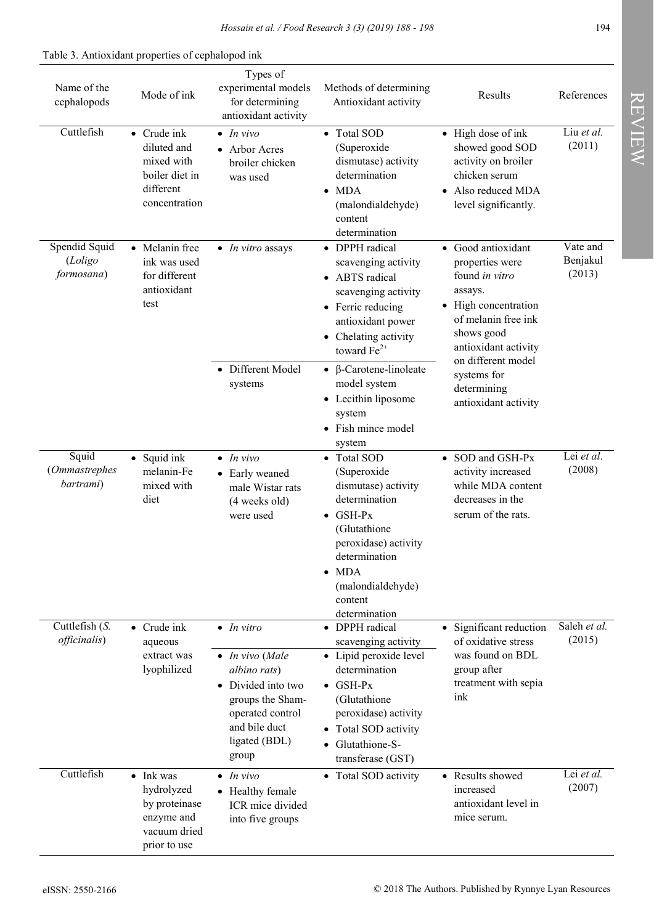| Name of the<br>cephalopods             | Mode of ink                                                                                      | Types of<br>experimental models<br>for determining<br>antioxidant activity                              | Methods of determining<br>Antioxidant activity                                                                                                                                        | Results                                                                                                                                                                                                                             | References                     |
|----------------------------------------|--------------------------------------------------------------------------------------------------|---------------------------------------------------------------------------------------------------------|---------------------------------------------------------------------------------------------------------------------------------------------------------------------------------------|-------------------------------------------------------------------------------------------------------------------------------------------------------------------------------------------------------------------------------------|--------------------------------|
| Cuttlefish                             | $\bullet$ Crude ink<br>diluted and<br>mixed with<br>boiler diet in<br>different<br>concentration | $\bullet$ In vivo<br>• Arbor Acres<br>broiler chicken<br>was used                                       | • Total SOD<br>(Superoxide<br>dismutase) activity<br>determination<br>$\bullet$ MDA<br>(malondialdehyde)<br>content<br>determination                                                  | • High dose of ink<br>showed good SOD<br>activity on broiler<br>chicken serum<br>• Also reduced MDA<br>level significantly.                                                                                                         | Liu et al.<br>(2011)           |
| Spendid Squid<br>(Loligo<br>formosana) | • Melanin free<br>ink was used<br>for different<br>antioxidant<br>test                           | $\bullet$ <i>In vitro</i> assays                                                                        | • DPPH radical<br>scavenging activity<br>• ABTS radical<br>scavenging activity<br>• Ferric reducing<br>antioxidant power<br>Chelating activity<br>toward $Fe^{2+}$                    | • Good antioxidant<br>properties were<br>found in vitro<br>assays.<br>• High concentration<br>of melanin free ink<br>shows good<br>antioxidant activity<br>on different model<br>systems for<br>determining<br>antioxidant activity | Vate and<br>Benjakul<br>(2013) |
|                                        |                                                                                                  | • Different Model<br>systems                                                                            | $\bullet$ β-Carotene-linoleate<br>model system<br>• Lecithin liposome<br>system<br>• Fish mince model<br>system                                                                       |                                                                                                                                                                                                                                     |                                |
| Squid<br>(Ommastrephes<br>bartrami)    | · Squid ink<br>melanin-Fe<br>mixed with<br>diet                                                  | $\bullet$ In vivo<br>• Early weaned<br>male Wistar rats<br>(4 weeks old)<br>were used                   | • Total SOD<br>(Superoxide<br>dismutase) activity<br>determination<br>$\bullet$ GSH-Px<br>(Glutathione<br>peroxidase) activity<br>determination<br>$\bullet$ MDA<br>(malondialdehyde) | • SOD and GSH-Px<br>activity increased<br>while MDA content<br>decreases in the<br>serum of the rats.                                                                                                                               | Lei et al.<br>(2008)           |
| Cuttlefish (S.<br><i>officinalis</i> ) | $\bullet$ Crude ink<br>aqueous<br>extract was<br>lyophilized                                     | $\bullet$ In vitro<br>$\bullet$ In vivo (Male<br>albino rats)<br>• Divided into two<br>groups the Sham- | content<br>determination<br>• DPPH radical<br>scavenging activity<br>• Lipid peroxide level<br>determination<br>$\bullet$ GSH-Px<br>(Glutathione                                      | • Significant reduction<br>of oxidative stress<br>was found on BDL<br>group after<br>treatment with sepia<br>ink                                                                                                                    | Saleh et al.<br>(2015)         |
|                                        |                                                                                                  | operated control<br>and bile duct<br>ligated (BDL)<br>group                                             | peroxidase) activity<br>• Total SOD activity<br>Glutathione-S-<br>transferase (GST)                                                                                                   |                                                                                                                                                                                                                                     |                                |
| Cuttlefish                             | • Ink was<br>hydrolyzed<br>by proteinase<br>enzyme and<br>vacuum dried<br>prior to use           | $\bullet$ In vivo<br>• Healthy female<br>ICR mice divided<br>into five groups                           | • Total SOD activity                                                                                                                                                                  | • Results showed<br>increased<br>antioxidant level in<br>mice serum.                                                                                                                                                                | Lei et al.<br>(2007)           |

**REVIEW** REVIEW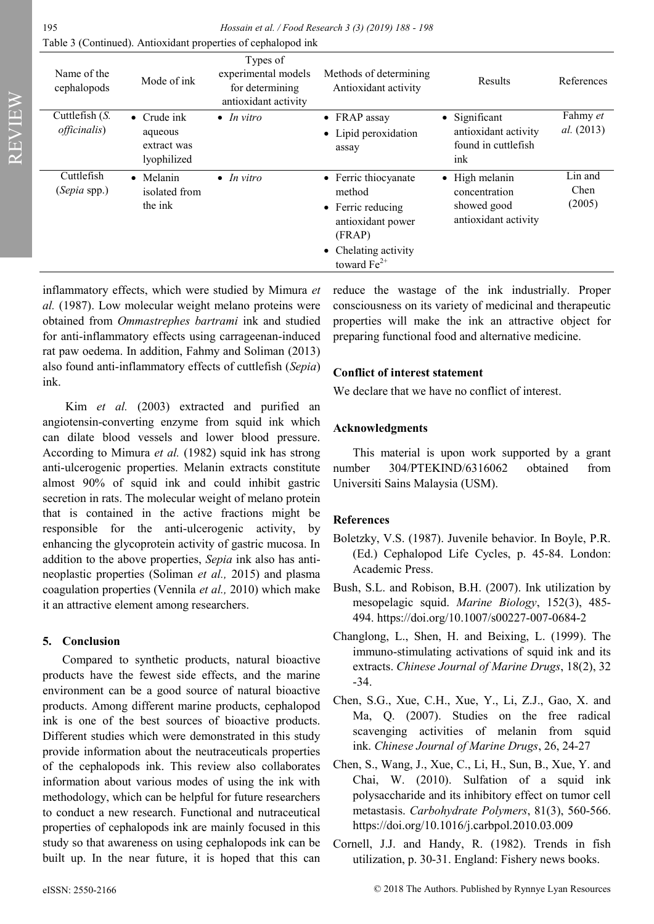| Name of the<br>cephalopods               | Mode of ink                                                  | Types of<br>experimental models<br>for determining<br>antioxidant activity | Methods of determining<br>Antioxidant activity                                                                                 | Results                                                                | References                    |
|------------------------------------------|--------------------------------------------------------------|----------------------------------------------------------------------------|--------------------------------------------------------------------------------------------------------------------------------|------------------------------------------------------------------------|-------------------------------|
| Cuttlefish $(S.$<br><i>officinalis</i> ) | $\bullet$ Crude ink<br>aqueous<br>extract was<br>lyophilized | $\bullet$ In vitro                                                         | $\bullet$ FRAP assay<br>• Lipid peroxidation<br>assay                                                                          | • Significant<br>antioxidant activity<br>found in cuttlefish<br>ink    | Fahmy et<br><i>al.</i> (2013) |
| Cuttlefish<br>(Sepia spp.)               | • Melanin<br>isolated from<br>the ink                        | $\bullet$ In vitro                                                         | • Ferric thiocyanate<br>method<br>• Ferric reducing<br>antioxidant power<br>(FRAP)<br>• Chelating activity<br>toward $Fe^{2+}$ | • High melanin<br>concentration<br>showed good<br>antioxidant activity | Lin and<br>Chen<br>(2005)     |

inflammatory effects, which were studied by Mimura *et al.* (1987). Low molecular weight melano proteins were obtained from *Ommastrephes bartrami* ink and studied for anti-inflammatory effects using carrageenan-induced rat paw oedema. In addition, Fahmy and Soliman (2013) also found anti-inflammatory effects of cuttlefish (*Sepia*) ink.

Kim *et al.* (2003) extracted and purified an angiotensin-converting enzyme from squid ink which can dilate blood vessels and lower blood pressure. According to Mimura *et al.* (1982) squid ink has strong anti-ulcerogenic properties. Melanin extracts constitute almost 90% of squid ink and could inhibit gastric secretion in rats. The molecular weight of melano protein that is contained in the active fractions might be responsible for the anti-ulcerogenic activity, by enhancing the glycoprotein activity of gastric mucosa. In addition to the above properties, *Sepia* ink also has antineoplastic properties (Soliman *et al.,* 2015) and plasma coagulation properties (Vennila *et al.,* 2010) which make it an attractive element among researchers.

## **5. Conclusion**

Compared to synthetic products, natural bioactive products have the fewest side effects, and the marine environment can be a good source of natural bioactive products. Among different marine products, cephalopod ink is one of the best sources of bioactive products. Different studies which were demonstrated in this study provide information about the neutraceuticals properties of the cephalopods ink. This review also collaborates information about various modes of using the ink with methodology, which can be helpful for future researchers to conduct a new research. Functional and nutraceutical properties of cephalopods ink are mainly focused in this study so that awareness on using cephalopods ink can be built up. In the near future, it is hoped that this can

reduce the wastage of the ink industrially. Proper consciousness on its variety of medicinal and therapeutic properties will make the ink an attractive object for preparing functional food and alternative medicine.

## **Conflict of interest statement**

We declare that we have no conflict of interest.

## **Acknowledgments**

This material is upon work supported by a grant number 304/PTEKIND/6316062 obtained from Universiti Sains Malaysia (USM).

## **References**

- Boletzky, V.S. (1987). Juvenile behavior. In Boyle, P.R. (Ed.) Cephalopod Life Cycles, p. 45-84. London: Academic Press.
- Bush, S.L. and Robison, B.H. (2007). Ink utilization by mesopelagic squid. *Marine Biology*, 152(3), 485- 494. https://doi.org/10.1007/s00227-007-0684-2
- Changlong, L., Shen, H. and Beixing, L. (1999). The immuno-stimulating activations of squid ink and its extracts. *Chinese Journal of Marine Drugs*, 18(2), 32 -34.
- Chen, S.G., Xue, C.H., Xue, Y., Li, Z.J., Gao, X. and Ma, Q. (2007). Studies on the free radical scavenging activities of melanin from squid ink. *Chinese Journal of Marine Drugs*, 26, 24-27
- Chen, S., Wang, J., Xue, C., Li, H., Sun, B., Xue, Y. and Chai, W. (2010). Sulfation of a squid ink polysaccharide and its inhibitory effect on tumor cell metastasis. *Carbohydrate Polymers*, 81(3), 560-566. https://doi.org/10.1016/j.carbpol.2010.03.009
- Cornell, J.J. and Handy, R. (1982). Trends in fish utilization, p. 30-31. England: Fishery news books.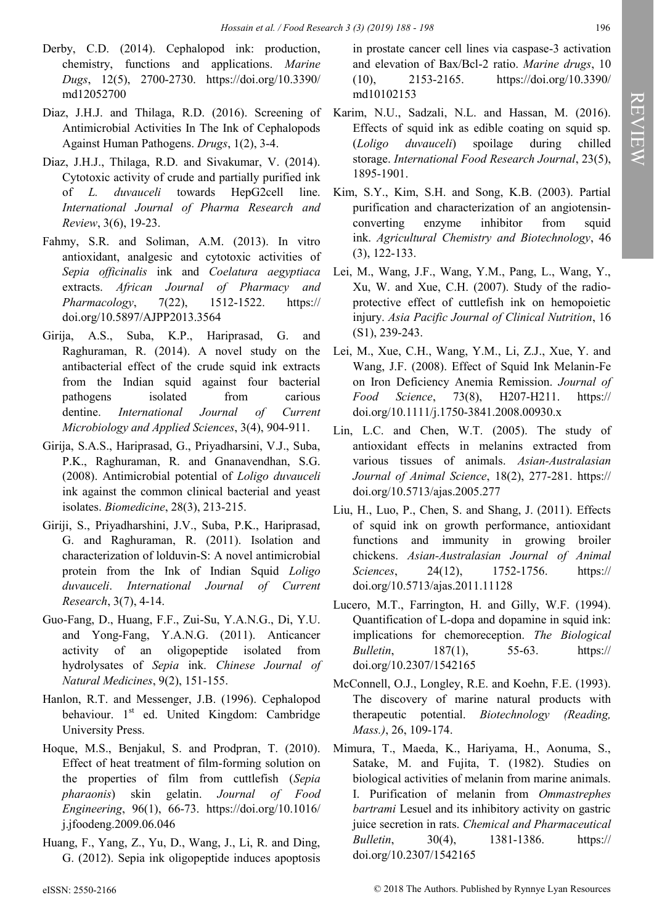- Derby, C.D. (2014). Cephalopod ink: production, chemistry, functions and applications. *Marine Dugs*, 12(5), 2700-2730. https://doi.org/10.3390/ md12052700
- Diaz, J.H.J. and Thilaga, R.D. (2016). Screening of Antimicrobial Activities In The Ink of Cephalopods Against Human Pathogens. *Drugs*, 1(2), 3-4.
- Diaz, J.H.J., Thilaga, R.D. and Sivakumar, V. (2014). Cytotoxic activity of crude and partially purified ink of *L. duvauceli* towards HepG2cell line. *International Journal of Pharma Research and Review*, 3(6), 19-23.
- Fahmy, S.R. and Soliman, A.M. (2013). In vitro antioxidant, analgesic and cytotoxic activities of *Sepia officinalis* ink and *Coelatura aegyptiaca* extracts. *African Journal of Pharmacy and Pharmacology*, 7(22), 1512-1522. https:// doi.org/10.5897/AJPP2013.3564
- Girija, A.S., Suba, K.P., Hariprasad, G. and Raghuraman, R. (2014). A novel study on the antibacterial effect of the crude squid ink extracts from the Indian squid against four bacterial pathogens isolated from carious dentine. *International Journal of Current Microbiology and Applied Sciences*, 3(4), 904-911.
- Girija, S.A.S., Hariprasad, G., Priyadharsini, V.J., Suba, P.K., Raghuraman, R. and Gnanavendhan, S.G. (2008). Antimicrobial potential of *Loligo duvauceli* ink against the common clinical bacterial and yeast isolates. *Biomedicine*, 28(3), 213-215.
- Giriji, S., Priyadharshini, J.V., Suba, P.K., Hariprasad, G. and Raghuraman, R. (2011). Isolation and characterization of lolduvin-S: A novel antimicrobial protein from the Ink of Indian Squid *Loligo duvauceli*. *International Journal of Current Research*, 3(7), 4-14.
- Guo-Fang, D., Huang, F.F., Zui-Su, Y.A.N.G., Di, Y.U. and Yong-Fang, Y.A.N.G. (2011). Anticancer activity of an oligopeptide isolated from hydrolysates of *Sepia* ink. *Chinese Journal of Natural Medicines*, 9(2), 151-155.
- Hanlon, R.T. and Messenger, J.B. (1996). Cephalopod behaviour. 1<sup>st</sup> ed. United Kingdom: Cambridge University Press.
- Hoque, M.S., Benjakul, S. and Prodpran, T. (2010). Effect of heat treatment of film-forming solution on the properties of film from cuttlefish (*Sepia pharaonis*) skin gelatin. *Journal of Food Engineering*, 96(1), 66-73. https://doi.org/10.1016/ j.jfoodeng.2009.06.046
- Huang, F., Yang, Z., Yu, D., Wang, J., Li, R. and Ding, G. (2012). Sepia ink oligopeptide induces apoptosis

in prostate cancer cell lines via caspase-3 activation and elevation of Bax/Bcl-2 ratio. *Marine drugs*, 10 (10), 2153-2165. https://doi.org/10.3390/ md10102153

- Karim, N.U., Sadzali, N.L. and Hassan, M. (2016). Effects of squid ink as edible coating on squid sp. (*Loligo duvauceli*) spoilage during chilled storage. *International Food Research Journal*, 23(5), 1895-1901.
- Kim, S.Y., Kim, S.H. and Song, K.B. (2003). Partial purification and characterization of an angiotensinconverting enzyme inhibitor from squid ink. *Agricultural Chemistry and Biotechnology*, 46 (3), 122-133.
- Lei, M., Wang, J.F., Wang, Y.M., Pang, L., Wang, Y., Xu, W. and Xue, C.H. (2007). Study of the radioprotective effect of cuttlefish ink on hemopoietic injury. *Asia Pacific Journal of Clinical Nutrition*, 16 (S1), 239-243.
- Lei, M., Xue, C.H., Wang, Y.M., Li, Z.J., Xue, Y. and Wang, J.F. (2008). Effect of Squid Ink Melanin‐Fe on Iron Deficiency Anemia Remission. *Journal of Food Science*, 73(8), H207-H211. https:// doi.org/10.1111/j.1750-3841.2008.00930.x
- Lin, L.C. and Chen, W.T. (2005). The study of antioxidant effects in melanins extracted from various tissues of animals. *Asian-Australasian Journal of Animal Science*, 18(2), 277-281. https:// doi.org/10.5713/ajas.2005.277
- Liu, H., Luo, P., Chen, S. and Shang, J. (2011). Effects of squid ink on growth performance, antioxidant functions and immunity in growing broiler chickens. *Asian-Australasian Journal of Animal Sciences*, 24(12), 1752-1756. https:// doi.org/10.5713/ajas.2011.11128
- Lucero, M.T., Farrington, H. and Gilly, W.F. (1994). Quantification of L-dopa and dopamine in squid ink: implications for chemoreception. *The Biological Bulletin*, 187(1), 55-63. https:// doi.org/10.2307/1542165
- McConnell, O.J., Longley, R.E. and Koehn, F.E. (1993). The discovery of marine natural products with therapeutic potential. *Biotechnology (Reading, Mass.)*, 26, 109-174.
- Mimura, T., Maeda, K., Hariyama, H., Aonuma, S., Satake, M. and Fujita, T. (1982). Studies on biological activities of melanin from marine animals. I. Purification of melanin from *Ommastrephes bartrami* Lesuel and its inhibitory activity on gastric juice secretion in rats. *Chemical and Pharmaceutical Bulletin*, 30(4), 1381-1386. https:// doi.org/10.2307/1542165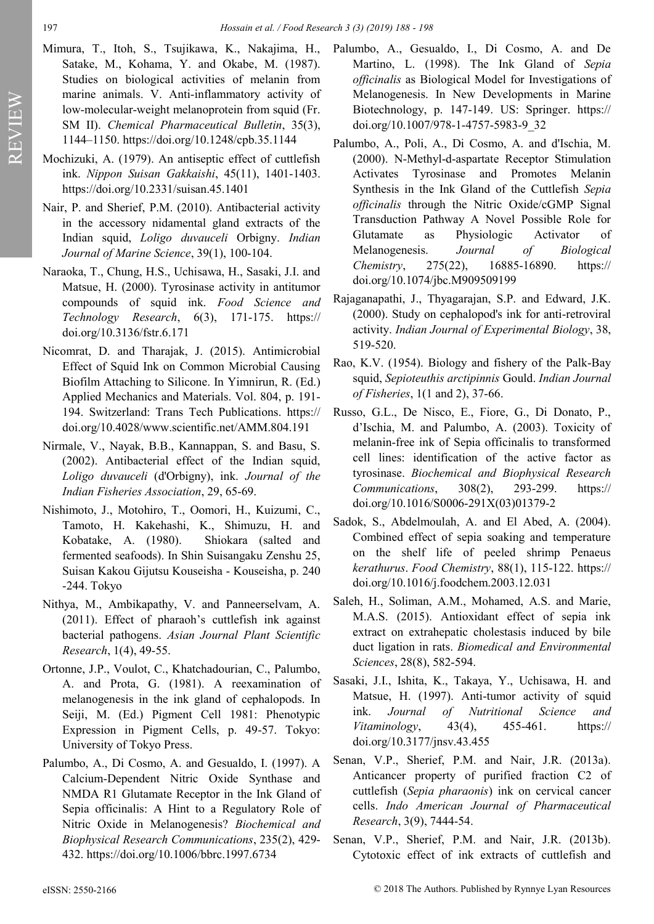- Mimura, T., Itoh, S., Tsujikawa, K., Nakajima, H., Satake, M., Kohama, Y. and Okabe, M. (1987). Studies on biological activities of melanin from marine animals. V. Anti-inflammatory activity of low-molecular-weight melanoprotein from squid (Fr. SM II). *Chemical Pharmaceutical Bulletin*, 35(3), 1144–1150. https://doi.org/10.1248/cpb.35.1144
- Mochizuki, A. (1979). An antiseptic effect of cuttlefish ink. *Nippon Suisan Gakkaishi*, 45(11), 1401-1403. https://doi.org/10.2331/suisan.45.1401
- Nair, P. and Sherief, P.M. (2010). Antibacterial activity in the accessory nidamental gland extracts of the Indian squid, *Loligo duvauceli* Orbigny. *Indian Journal of Marine Science*, 39(1), 100-104.
- Naraoka, T., Chung, H.S., Uchisawa, H., Sasaki, J.I. and Matsue, H. (2000). Tyrosinase activity in antitumor compounds of squid ink. *Food Science and Technology Research*, 6(3), 171-175. https:// doi.org/10.3136/fstr.6.171
- Nicomrat, D. and Tharajak, J. (2015). Antimicrobial Effect of Squid Ink on Common Microbial Causing Biofilm Attaching to Silicone. In Yimnirun, R. (Ed.) Applied Mechanics and Materials. Vol. 804, p. 191- 194. Switzerland: Trans Tech Publications. https:// doi.org/10.4028/www.scientific.net/AMM.804.191
- Nirmale, V., Nayak, B.B., Kannappan, S. and Basu, S. (2002). Antibacterial effect of the Indian squid, *Loligo duvauceli* (d'Orbigny), ink. *Journal of the Indian Fisheries Association*, 29, 65-69.
- Nishimoto, J., Motohiro, T., Oomori, H., Kuizumi, C., Tamoto, H. Kakehashi, K., Shimuzu, H. and Kobatake, A. (1980). Shiokara (salted and fermented seafoods). In Shin Suisangaku Zenshu 25, Suisan Kakou Gijutsu Kouseisha - Kouseisha, p. 240 -244. Tokyo
- Nithya, M., Ambikapathy, V. and Panneerselvam, A. (2011). Effect of pharaoh's cuttlefish ink against bacterial pathogens. *Asian Journal Plant Scientific Research*, 1(4), 49-55.
- Ortonne, J.P., Voulot, C., Khatchadourian, C., Palumbo, A. and Prota, G. (1981). A reexamination of melanogenesis in the ink gland of cephalopods. In Seiji, M. (Ed.) Pigment Cell 1981: Phenotypic Expression in Pigment Cells, p. 49-57. Tokyo: University of Tokyo Press.
- Palumbo, A., Di Cosmo, A. and Gesualdo, I. (1997). A Calcium-Dependent Nitric Oxide Synthase and NMDA R1 Glutamate Receptor in the Ink Gland of Sepia officinalis: A Hint to a Regulatory Role of Nitric Oxide in Melanogenesis? *Biochemical and Biophysical Research Communications*, 235(2), 429- 432. https://doi.org/10.1006/bbrc.1997.6734
- Palumbo, A., Gesualdo, I., Di Cosmo, A. and De Martino, L. (1998). The Ink Gland of *Sepia officinalis* as Biological Model for Investigations of Melanogenesis. In New Developments in Marine Biotechnology, p. 147-149. US: Springer. https:// doi.org/10.1007/978-1-4757-5983-9\_32
- Palumbo, A., Poli, A., Di Cosmo, A. and d'Ischia, M. (2000). N-Methyl-d-aspartate Receptor Stimulation Activates Tyrosinase and Promotes Melanin Synthesis in the Ink Gland of the Cuttlefish *Sepia officinalis* through the Nitric Oxide/cGMP Signal Transduction Pathway A Novel Possible Role for Glutamate as Physiologic Activator of Melanogenesis. *Journal of Biological Chemistry*, 275(22), 16885-16890. https:// doi.org/10.1074/jbc.M909509199
- Rajaganapathi, J., Thyagarajan, S.P. and Edward, J.K. (2000). Study on cephalopod's ink for anti-retroviral activity. *Indian Journal of Experimental Biology*, 38, 519-520.
- Rao, K.V. (1954). Biology and fishery of the Palk-Bay squid, *Sepioteuthis arctipinnis* Gould. *Indian Journal of Fisheries*, 1(1 and 2), 37-66.
- Russo, G.L., De Nisco, E., Fiore, G., Di Donato, P., d'Ischia, M. and Palumbo, A. (2003). Toxicity of melanin-free ink of Sepia officinalis to transformed cell lines: identification of the active factor as tyrosinase. *Biochemical and Biophysical Research Communications*, 308(2), 293-299. https:// doi.org/10.1016/S0006-291X(03)01379-2
- Sadok, S., Abdelmoulah, A. and El Abed, A. (2004). Combined effect of sepia soaking and temperature on the shelf life of peeled shrimp Penaeus *kerathurus*. *Food Chemistry*, 88(1), 115-122. https:// doi.org/10.1016/j.foodchem.2003.12.031
- Saleh, H., Soliman, A.M., Mohamed, A.S. and Marie, M.A.S. (2015). Antioxidant effect of sepia ink extract on extrahepatic cholestasis induced by bile duct ligation in rats. *Biomedical and Environmental Sciences*, 28(8), 582-594.
- Sasaki, J.I., Ishita, K., Takaya, Y., Uchisawa, H. and Matsue, H. (1997). Anti-tumor activity of squid ink. *Journal of Nutritional Science and Vitaminology*, 43(4), 455-461. https:// doi.org/10.3177/jnsv.43.455
- Senan, V.P., Sherief, P.M. and Nair, J.R. (2013a). Anticancer property of purified fraction C2 of cuttlefish (*Sepia pharaonis*) ink on cervical cancer cells. *Indo American Journal of Pharmaceutical Research*, 3(9), 7444-54.
- Senan, V.P., Sherief, P.M. and Nair, J.R. (2013b). Cytotoxic effect of ink extracts of cuttlefish and